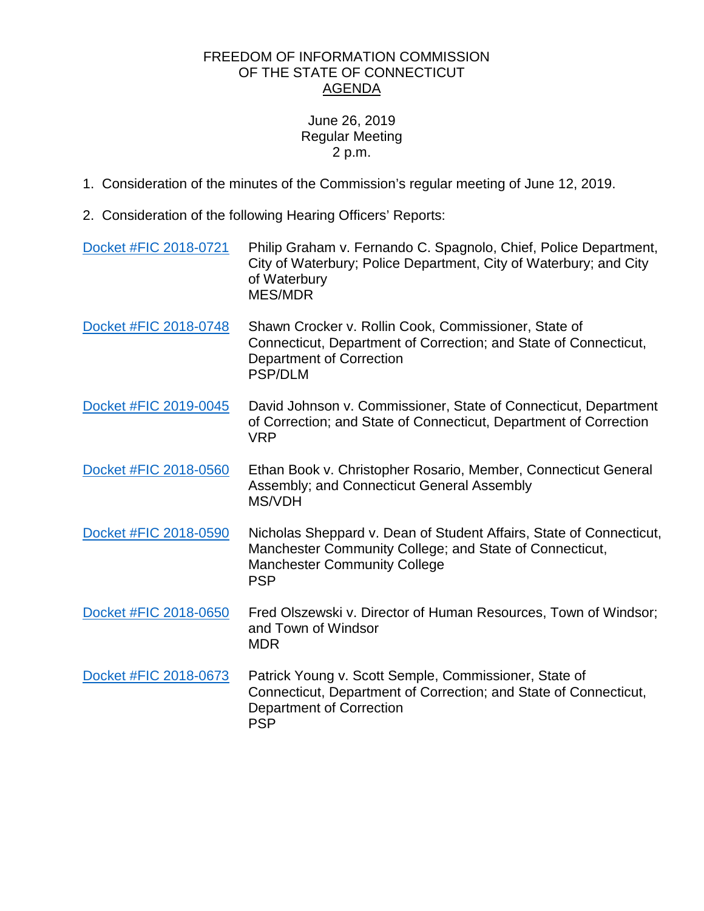## FREEDOM OF INFORMATION COMMISSION OF THE STATE OF CONNECTICUT AGENDA

## June 26, 2019 Regular Meeting 2 p.m.

- 1. Consideration of the minutes of the Commission's regular meeting of June 12, 2019.
- 2. Consideration of the following Hearing Officers' Reports:

| Docket #FIC 2018-0721 | Philip Graham v. Fernando C. Spagnolo, Chief, Police Department,<br>City of Waterbury; Police Department, City of Waterbury; and City<br>of Waterbury<br><b>MES/MDR</b>             |
|-----------------------|-------------------------------------------------------------------------------------------------------------------------------------------------------------------------------------|
| Docket #FIC 2018-0748 | Shawn Crocker v. Rollin Cook, Commissioner, State of<br>Connecticut, Department of Correction; and State of Connecticut,<br><b>Department of Correction</b><br><b>PSP/DLM</b>       |
| Docket #FIC 2019-0045 | David Johnson v. Commissioner, State of Connecticut, Department<br>of Correction; and State of Connecticut, Department of Correction<br><b>VRP</b>                                  |
| Docket #FIC 2018-0560 | Ethan Book v. Christopher Rosario, Member, Connecticut General<br>Assembly; and Connecticut General Assembly<br>MS/VDH                                                              |
| Docket #FIC 2018-0590 | Nicholas Sheppard v. Dean of Student Affairs, State of Connecticut,<br>Manchester Community College; and State of Connecticut,<br><b>Manchester Community College</b><br><b>PSP</b> |
| Docket #FIC 2018-0650 | Fred Olszewski v. Director of Human Resources, Town of Windsor;<br>and Town of Windsor<br><b>MDR</b>                                                                                |
| Docket #FIC 2018-0673 | Patrick Young v. Scott Semple, Commissioner, State of<br>Connecticut, Department of Correction; and State of Connecticut,<br><b>Department of Correction</b><br><b>PSP</b>          |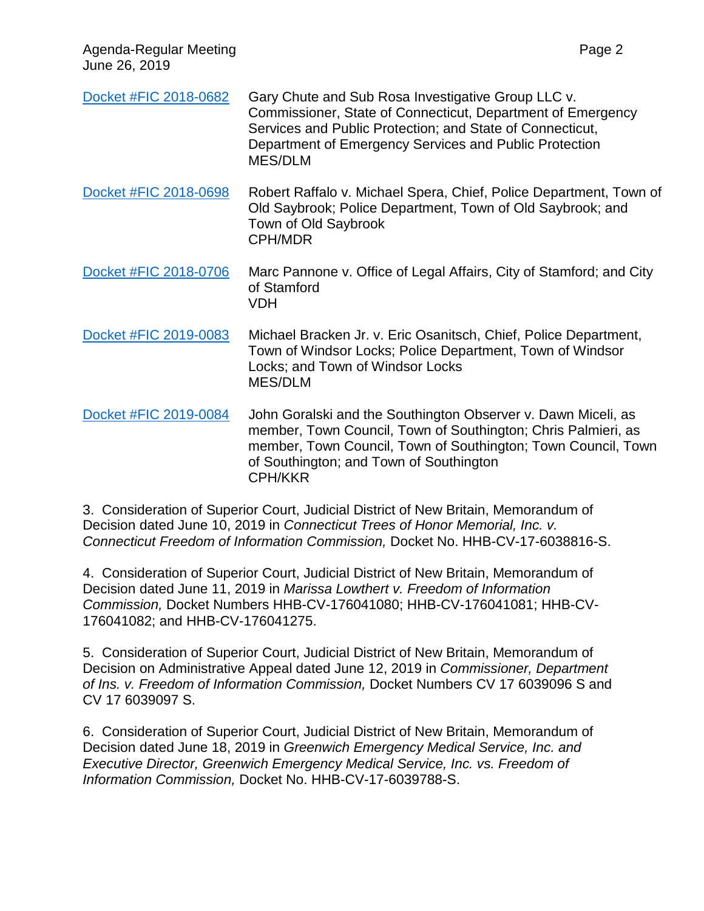| June 26, 2019         |                                                                                                                                                                                                                                                              |
|-----------------------|--------------------------------------------------------------------------------------------------------------------------------------------------------------------------------------------------------------------------------------------------------------|
| Docket #FIC 2018-0682 | Gary Chute and Sub Rosa Investigative Group LLC v.<br>Commissioner, State of Connecticut, Department of Emergency<br>Services and Public Protection; and State of Connecticut,<br>Department of Emergency Services and Public Protection<br>MES/DLM          |
| Docket #FIC 2018-0698 | Robert Raffalo v. Michael Spera, Chief, Police Department, Town of<br>Old Saybrook; Police Department, Town of Old Saybrook; and<br>Town of Old Saybrook<br><b>CPH/MDR</b>                                                                                   |
| Docket #FIC 2018-0706 | Marc Pannone v. Office of Legal Affairs, City of Stamford; and City<br>of Stamford<br><b>VDH</b>                                                                                                                                                             |
| Docket #FIC 2019-0083 | Michael Bracken Jr. v. Eric Osanitsch, Chief, Police Department,<br>Town of Windsor Locks; Police Department, Town of Windsor<br>Locks; and Town of Windsor Locks<br><b>MES/DLM</b>                                                                          |
| Docket #FIC 2019-0084 | John Goralski and the Southington Observer v. Dawn Miceli, as<br>member, Town Council, Town of Southington; Chris Palmieri, as<br>member, Town Council, Town of Southington; Town Council, Town<br>of Southington; and Town of Southington<br><b>CPH/KKR</b> |

Agenda-Regular Meeting Page 2

3. Consideration of Superior Court, Judicial District of New Britain, Memorandum of Decision dated June 10, 2019 in *Connecticut Trees of Honor Memorial, Inc. v. Connecticut Freedom of Information Commission,* Docket No. HHB-CV-17-6038816-S.

4. Consideration of Superior Court, Judicial District of New Britain, Memorandum of Decision dated June 11, 2019 in *Marissa Lowthert v. Freedom of Information Commission,* Docket Numbers HHB-CV-176041080; HHB-CV-176041081; HHB-CV-176041082; and HHB-CV-176041275.

5. Consideration of Superior Court, Judicial District of New Britain, Memorandum of Decision on Administrative Appeal dated June 12, 2019 in *Commissioner, Department of Ins. v. Freedom of Information Commission,* Docket Numbers CV 17 6039096 S and CV 17 6039097 S.

6. Consideration of Superior Court, Judicial District of New Britain, Memorandum of Decision dated June 18, 2019 in *Greenwich Emergency Medical Service, Inc. and Executive Director, Greenwich Emergency Medical Service, Inc. vs. Freedom of Information Commission,* Docket No. HHB-CV-17-6039788-S.